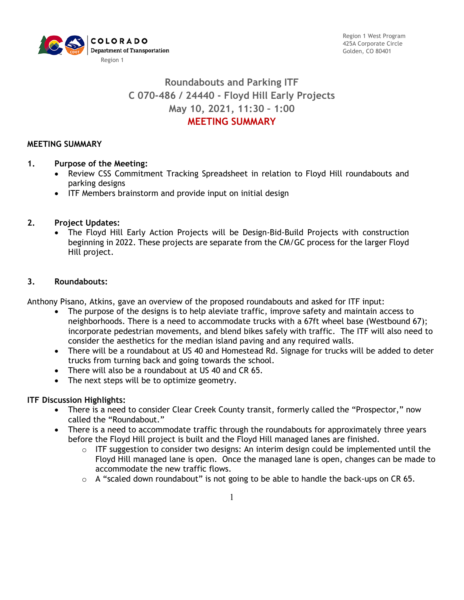

Region 1 West Program 425A Corporate Circle Golden, CO 80401

# **Roundabouts and Parking ITF C 070-486 / 24440 - Floyd Hill Early Projects May 10, 2021, 11:30 – 1:00 MEETING SUMMARY**

### **MEETING SUMMARY**

#### **1. Purpose of the Meeting:**

- Review CSS Commitment Tracking Spreadsheet in relation to Floyd Hill roundabouts and parking designs
- ITF Members brainstorm and provide input on initial design

#### **2. Project Updates:**

• The Floyd Hill Early Action Projects will be Design-Bid-Build Projects with construction beginning in 2022. These projects are separate from the CM/GC process for the larger Floyd Hill project.

#### **3. Roundabouts:**

Anthony Pisano, Atkins, gave an overview of the proposed roundabouts and asked for ITF input:

- The purpose of the designs is to help aleviate traffic, improve safety and maintain access to neighborhoods. There is a need to accommodate trucks with a 67ft wheel base (Westbound 67); incorporate pedestrian movements, and blend bikes safely with traffic. The ITF will also need to consider the aesthetics for the median island paving and any required walls.
- There will be a roundabout at US 40 and Homestead Rd. Signage for trucks will be added to deter trucks from turning back and going towards the school.
- There will also be a roundabout at US 40 and CR 65.
- The next steps will be to optimize geometry.

### **ITF Discussion Highlights:**

- There is a need to consider Clear Creek County transit, formerly called the "Prospector," now called the "Roundabout."
- There is a need to accommodate traffic through the roundabouts for approximately three years before the Floyd Hill project is built and the Floyd Hill managed lanes are finished.
	- $\circ$  ITF suggestion to consider two designs: An interim design could be implemented until the Floyd Hill managed lane is open. Once the managed lane is open, changes can be made to accommodate the new traffic flows.
	- o A "scaled down roundabout" is not going to be able to handle the back-ups on CR 65.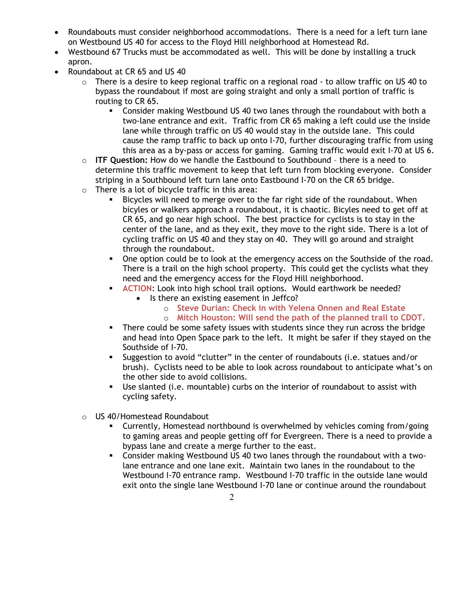- Roundabouts must consider neighborhood accommodations. There is a need for a left turn lane on Westbound US 40 for access to the Floyd Hill neighborhood at Homestead Rd.
- Westbound 67 Trucks must be accommodated as well. This will be done by installing a truck apron.
- Roundabout at CR 65 and US 40
	- o There is a desire to keep regional traffic on a regional road to allow traffic on US 40 to bypass the roundabout if most are going straight and only a small portion of traffic is routing to CR 65.
		- Consider making Westbound US 40 two lanes through the roundabout with both a two-lane entrance and exit. Traffic from CR 65 making a left could use the inside lane while through traffic on US 40 would stay in the outside lane. This could cause the ramp traffic to back up onto I-70, further discouraging traffic from using this area as a by-pass or access for gaming. Gaming traffic would exit I-70 at US 6.
	- o **ITF Question:** How do we handle the Eastbound to Southbound there is a need to determine this traffic movement to keep that left turn from blocking everyone. Consider striping in a Southbound left turn lane onto Eastbound I-70 on the CR 65 bridge.
	- o There is a lot of bicycle traffic in this area:
		- Bicycles will need to merge over to the far right side of the roundabout. When bicyles or walkers approach a roundabout, it is chaotic. Bicyles need to get off at CR 65, and go near high school. The best practice for cyclists is to stay in the center of the lane, and as they exit, they move to the right side. There is a lot of cycling traffic on US 40 and they stay on 40. They will go around and straight through the roundabout.
		- One option could be to look at the emergency access on the Southside of the road. There is a trail on the high school property. This could get the cyclists what they need and the emergency access for the Floyd Hill neighborhood.
		- **ACTION:** Look into high school trail options. Would earthwork be needed?
			- Is there an existing easement in Jeffco?
				- o **Steve Durian: Check in with Yelena Onnen and Real Estate**
				- o **Mitch Houston: Will send the path of the planned trail to CDOT.**
		- There could be some safety issues with students since they run across the bridge and head into Open Space park to the left. It might be safer if they stayed on the Southside of I-70.
		- Suggestion to avoid "clutter" in the center of roundabouts (i.e. statues and/or brush). Cyclists need to be able to look across roundabout to anticipate what's on the other side to avoid collisions.
		- Use slanted (i.e. mountable) curbs on the interior of roundabout to assist with cycling safety.
	- o US 40/Homestead Roundabout
		- Currently, Homestead northbound is overwhelmed by vehicles coming from/going to gaming areas and people getting off for Evergreen. There is a need to provide a bypass lane and create a merge further to the east.
		- Consider making Westbound US 40 two lanes through the roundabout with a twolane entrance and one lane exit. Maintain two lanes in the roundabout to the Westbound I-70 entrance ramp. Westbound I-70 traffic in the outside lane would exit onto the single lane Westbound I-70 lane or continue around the roundabout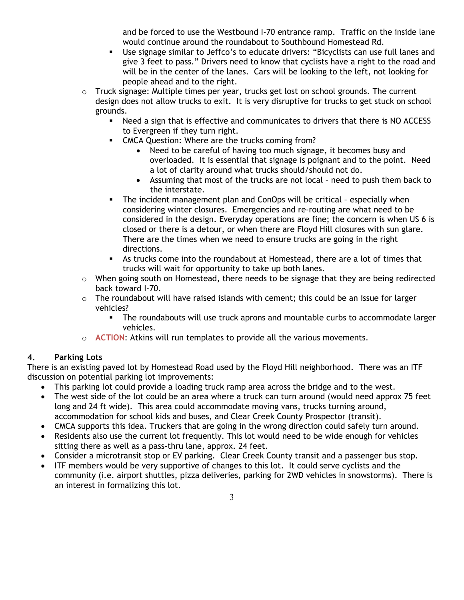and be forced to use the Westbound I-70 entrance ramp. Traffic on the inside lane would continue around the roundabout to Southbound Homestead Rd.

- Use signage similar to Jeffco's to educate drivers: "Bicyclists can use full lanes and give 3 feet to pass." Drivers need to know that cyclists have a right to the road and will be in the center of the lanes. Cars will be looking to the left, not looking for people ahead and to the right.
- o Truck signage: Multiple times per year, trucks get lost on school grounds. The current design does not allow trucks to exit. It is very disruptive for trucks to get stuck on school grounds.
	- Need a sign that is effective and communicates to drivers that there is NO ACCESS to Evergreen if they turn right.
	- CMCA Question: Where are the trucks coming from?
		- Need to be careful of having too much signage, it becomes busy and overloaded. It is essential that signage is poignant and to the point. Need a lot of clarity around what trucks should/should not do.
		- Assuming that most of the trucks are not local need to push them back to the interstate.
	- **The incident management plan and ConOps will be critical especially when** considering winter closures. Emergencies and re-routing are what need to be considered in the design. Everyday operations are fine; the concern is when US 6 is closed or there is a detour, or when there are Floyd Hill closures with sun glare. There are the times when we need to ensure trucks are going in the right directions.
	- As trucks come into the roundabout at Homestead, there are a lot of times that trucks will wait for opportunity to take up both lanes.
- o When going south on Homestead, there needs to be signage that they are being redirected back toward I-70.
- $\circ$  The roundabout will have raised islands with cement; this could be an issue for larger vehicles?
	- The roundabouts will use truck aprons and mountable curbs to accommodate larger vehicles.
- o **ACTION**: Atkins will run templates to provide all the various movements.

# **4. Parking Lots**

There is an existing paved lot by Homestead Road used by the Floyd Hill neighborhood. There was an ITF discussion on potential parking lot improvements:

- This parking lot could provide a loading truck ramp area across the bridge and to the west.
- The west side of the lot could be an area where a truck can turn around (would need approx 75 feet long and 24 ft wide). This area could accommodate moving vans, trucks turning around, accommodation for school kids and buses, and Clear Creek County Prospector (transit).
- CMCA supports this idea. Truckers that are going in the wrong direction could safely turn around.
- Residents also use the current lot frequently. This lot would need to be wide enough for vehicles sitting there as well as a pass-thru lane, approx. 24 feet.
- Consider a microtransit stop or EV parking. Clear Creek County transit and a passenger bus stop.
- ITF members would be very supportive of changes to this lot. It could serve cyclists and the community (i.e. airport shuttles, pizza deliveries, parking for 2WD vehicles in snowstorms). There is an interest in formalizing this lot.